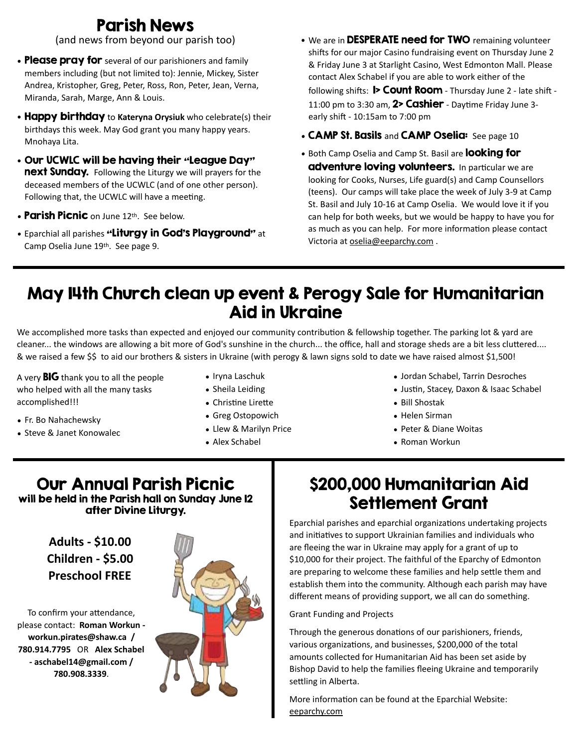# Parish News

(and news from beyond our parish too)

- Please pray for several of our parishioners and family members including (but not limited to): Jennie, Mickey, Sister Andrea, Kristopher, Greg, Peter, Ross, Ron, Peter, Jean, Verna, Miranda, Sarah, Marge, Ann & Louis.
- Happy birthday to **Kateryna Orysiuk** who celebrate(s) their birthdays this week. May God grant you many happy years. Mnohaya Lita.
- Our UCWLC will be having their "League Day" next Sunday. Following the Liturgy we will prayers for the deceased members of the UCWLC (and of one other person). Following that, the UCWLC will have a meeting.
- Parish Picnic on June 12th. See below.
- *•* Eparchial all parishes "Liturgy in God's Playground" at Camp Oselia June 19th. See page 9.
- We are in DESPERATE need for TWO remaining volunteer shifts for our major Casino fundraising event on Thursday June 2 & Friday June 3 at Starlight Casino, West Edmonton Mall. Please contact Alex Schabel if you are able to work either of the following shifts:  $\triangleright$  Count Room - Thursday June 2 - late shift -11:00 pm to 3:30 am,  $2$ > Cashier - Daytime Friday June 3early shift - 10:15am to 7:00 pm
- CAMP St. Basils and CAMP Oselia: See page 10
- Both Camp Oselia and Camp St. Basil are **looking for adventure loving volunteers.** In particular we are looking for Cooks, Nurses, Life guard(s) and Camp Counsellors (teens). Our camps will take place the week of July 3-9 at Camp St. Basil and July 10-16 at Camp Oselia. We would love it if you can help for both weeks, but we would be happy to have you for as much as you can help. For more information please contact Victoria at [oselia@eeparchy.com](mailto:oselia@eeparchy.com) .

## May 14th Church clean up event & Perogy Sale for Humanitarian Aid in Ukraine

We accomplished more tasks than expected and enjoyed our community contribution & fellowship together. The parking lot & yard are cleaner... the windows are allowing a bit more of God's sunshine in the church... the office, hall and storage sheds are a bit less cluttered.... & we raised a few \$\$ to aid our brothers & sisters in Ukraine (with perogy & lawn signs sold to date we have raised almost \$1,500!

A very  $BIG$  thank you to all the people who helped with all the many tasks accomplished!!!

- Fr. Bo Nahachewsky
- Steve & Janet Konowalec
- Iryna Laschuk
- Sheila Leiding
- Christine Lirette
- Greg Ostopowich
- Llew & Marilyn Price
- Alex Schabel
- Jordan Schabel, Tarrin Desroches
- Justin, Stacey, Daxon & Isaac Schabel
- Bill Shostak
- Helen Sirman
- Peter & Diane Woitas
- Roman Workun

#### Our Annual Parish Picnic will be held in the Parish hall on Sunday June 12 after Divine Liturgy.

**Adults - \$10.00 Children - \$5.00 Preschool FREE**

To confirm your attendance, please contact: **Roman Workun [workun.pirates@shaw.ca](mailto:workun.pirates@shaw.ca) / 780.914.7795** OR **Alex Schabel - [aschabel14@gmail.com](mailto:aschabel14@gmail.com) / 780.908.3339**.



# \$200,000 Humanitarian Aid Settlement Grant

Eparchial parishes and eparchial organizations undertaking projects and initiatives to support Ukrainian families and individuals who are fleeing the war in Ukraine may apply for a grant of up to \$10,000 for their project. The faithful of the Eparchy of Edmonton are preparing to welcome these families and help settle them and establish them into the community. Although each parish may have different means of providing support, we all can do something.

Grant Funding and Projects

Through the generous donations of our parishioners, friends, various organizations, and businesses, \$200,000 of the total amounts collected for Humanitarian Aid has been set aside by Bishop David to help the families fleeing Ukraine and temporarily settling in Alberta.

More information can be found at the Eparchial Website: [eeparchy.com](http://eeparchy.com)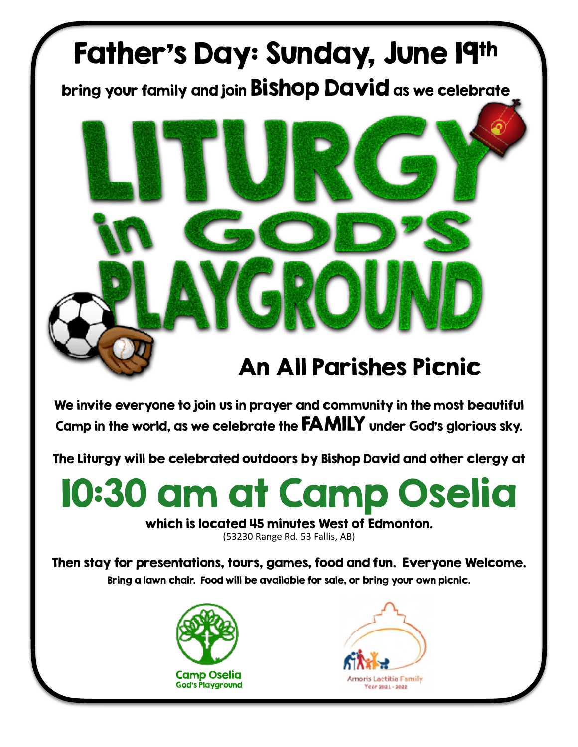# An All Parishes Picnic

We invite everyone to join us in prayer and community in the most beautiful Camp in the world, as we celebrate the FAMILY under God's glorious sky.

 $\sqrt{2}$ 

Father's Day: Sunday, June 19th

bring your family and join Bishop David as we celebrate

The Liturgy will be celebrated outdoors by Bishop David and other clergy at

# 10:30 am at Camp Oselia

#### which is located 45 minutes West of Edmonton.

(53230 Range Rd. 53 Fallis, AB)

Then stay for presentations, tours, games, food and fun. Everyone Welcome. Bring a lawn chair. Food will be available for sale, or bring your own picnic.



God's Playground

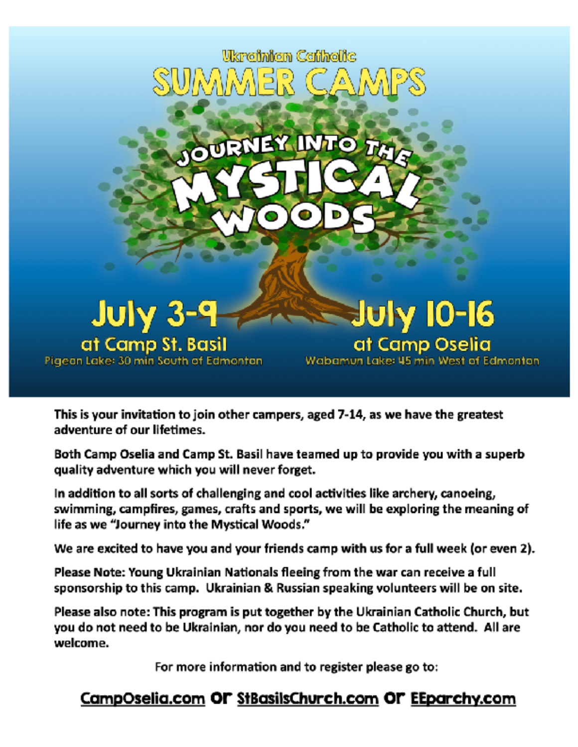

This is your invitation to join other campers, aged 7-14, as we have the greatest adventure of our lifetimes.

Both Camp Oselia and Camp St. Basil have teamed up to provide you with a superb quality adventure which you will never forget.

In addition to all sorts of challenging and cool activities like archery, canoeing, swimming, campfires, games, crafts and sports, we will be exploring the meaning of life as we "Journey into the Mystical Woods."

We are excited to have you and your friends camp with us for a full week (or even 2).

Please Note: Young Ukrainian Nationals fleeing from the war can receive a full sponsorship to this camp. Ukrainian & Russian speaking volunteers will be on site.

Please also note: This program is put together by the Ukrainian Catholic Church, but you do not need to be Ukrainian, nor do you need to be Catholic to attend. All are welcome.

For more information and to register please go to:

## CampOselia.com OF StBasilsChurch.com OF EEparchy.com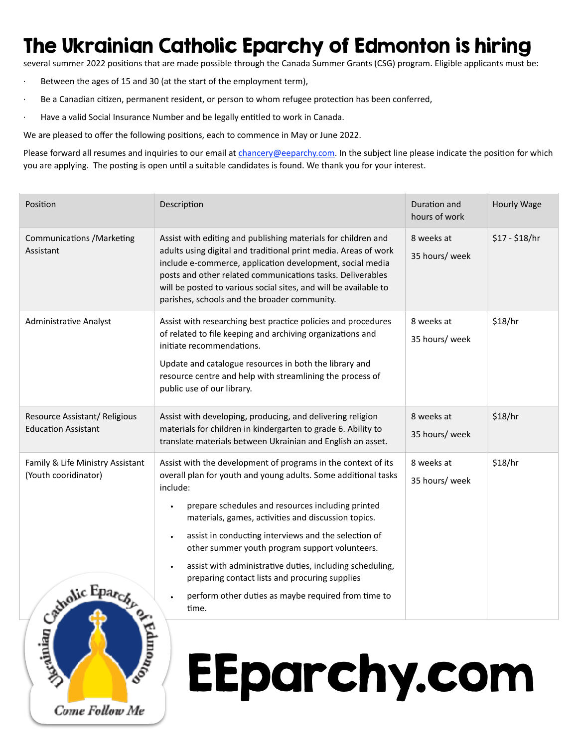# The Ukrainian Catholic Eparchy of Edmonton is hiring

several summer 2022 positions that are made possible through the Canada Summer Grants (CSG) program. Eligible applicants must be:

Between the ages of 15 and 30 (at the start of the employment term),

Come Follow Me

- Be a Canadian citizen, permanent resident, or person to whom refugee protection has been conferred,
- · Have a valid Social Insurance Number and be legally entitled to work in Canada.

We are pleased to offer the following positions, each to commence in May or June 2022.

Please forward all resumes and inquiries to our email at *chancery@eeparchy.com*. In the subject line please indicate the position for which you are applying. The posting is open until a suitable candidates is found. We thank you for your interest.

| Position                                                                   | Description                                                                                                                                                                                                                                                                                                                                                                                                                                                                                                                                     | Duration and<br>hours of work | Hourly Wage    |
|----------------------------------------------------------------------------|-------------------------------------------------------------------------------------------------------------------------------------------------------------------------------------------------------------------------------------------------------------------------------------------------------------------------------------------------------------------------------------------------------------------------------------------------------------------------------------------------------------------------------------------------|-------------------------------|----------------|
| <b>Communications / Marketing</b><br>Assistant                             | Assist with editing and publishing materials for children and<br>adults using digital and traditional print media. Areas of work<br>include e-commerce, application development, social media<br>posts and other related communications tasks. Deliverables<br>will be posted to various social sites, and will be available to<br>parishes, schools and the broader community.                                                                                                                                                                 | 8 weeks at<br>35 hours/ week  | $$17 - $18/hr$ |
| <b>Administrative Analyst</b>                                              | Assist with researching best practice policies and procedures<br>of related to file keeping and archiving organizations and<br>initiate recommendations.<br>Update and catalogue resources in both the library and<br>resource centre and help with streamlining the process of<br>public use of our library.                                                                                                                                                                                                                                   | 8 weeks at<br>35 hours/ week  | \$18/hr        |
| Resource Assistant/ Religious<br><b>Education Assistant</b>                | Assist with developing, producing, and delivering religion<br>materials for children in kindergarten to grade 6. Ability to<br>translate materials between Ukrainian and English an asset.                                                                                                                                                                                                                                                                                                                                                      | 8 weeks at<br>35 hours/ week  | \$18/hr        |
| Family & Life Ministry Assistant<br>(Youth cooridinator)<br>Strolic Eparcy | Assist with the development of programs in the context of its<br>overall plan for youth and young adults. Some additional tasks<br>include:<br>prepare schedules and resources including printed<br>materials, games, activities and discussion topics.<br>assist in conducting interviews and the selection of<br>other summer youth program support volunteers.<br>assist with administrative duties, including scheduling,<br>preparing contact lists and procuring supplies<br>perform other duties as maybe required from time to<br>time. | 8 weeks at<br>35 hours/ week  | \$18/hr        |

# EEparchy.com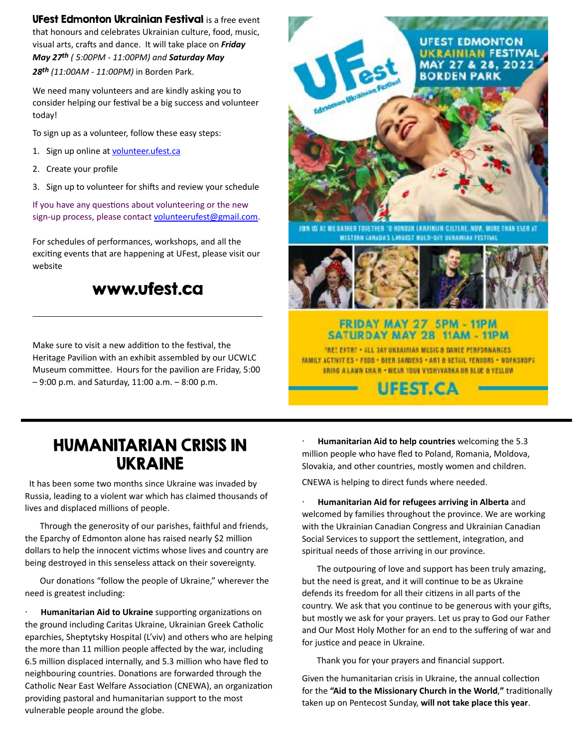UFest Edmonton Ukrainian Festival is a free event that honours and celebrates Ukrainian culture, food, music, visual arts, crafts and dance. It will take place on *Friday May 27th ( 5:00PM - 11:00PM) and Saturday May 28th (11:00AM - 11:00PM)* in Borden Park.

We need many volunteers and are kindly asking you to consider helping our festival be a big success and volunteer today!

To sign up as a volunteer, follow these easy steps:

- 1. Sign up online at [volunteer.ufest.ca](https://www.volunteer.ufest.ca/)
- 2. Create your profile
- 3. Sign up to volunteer for shifts and review your schedule

If you have any questions about volunteering or the new sign-up process, please contact [volunteerufest@gmail.com](mailto:volunteerufest@gmail.com).

For schedules of performances, workshops, and all the exciting events that are happening at UFest, please visit our website

### [www.ufest.ca](http://www.ufest.ca)

Make sure to visit a new addition to the festival, the Heritage Pavilion with an exhibit assembled by our UCWLC Museum committee. Hours for the pavilion are Friday, 5:00 – 9:00 p.m. and Saturday, 11:00 a.m. – 8:00 p.m.



ION US AS WE BATHER TOIETHER "O HUNDUR LKRAINIAN CJLTLRE, NOW, ANDRETHAN ENER AT **BESTERN CANADA'S LARGEST BULTI-DAY USRAINIAK FESTIVA** 



#### FRIDAY MAY 27 5PM - 11PM SATURDAY MAY 28 11AM - 11PM

THE! ENTRY - ALL JAY UKRAINIAN MISIC & DAMEE PERFORMANCES. FAMILY ACTIVITIES . FOOD . BIER SANDERS . ART & BETAIL FENDORS . WOFKSHOPS BRING A LAWN THA R . WEAR YOUR VYSHYVANKA OR BLUE & YELLOW

**UFEST.CA** 

## HUMANITARIAN CRISIS IN UKRAINE

 It has been some two months since Ukraine was invaded by Russia, leading to a violent war which has claimed thousands of lives and displaced millions of people.

 Through the generosity of our parishes, faithful and friends, the Eparchy of Edmonton alone has raised nearly \$2 million dollars to help the innocent victims whose lives and country are being destroyed in this senseless attack on their sovereignty.

 Our donations "follow the people of Ukraine," wherever the need is greatest including:

· **Humanitarian Aid to Ukraine** supporting organizations on the ground including Caritas Ukraine, Ukrainian Greek Catholic eparchies, Sheptytsky Hospital (L'viv) and others who are helping the more than 11 million people affected by the war, including 6.5 million displaced internally, and 5.3 million who have fled to neighbouring countries. Donations are forwarded through the Catholic Near East Welfare Association (CNEWA), an organization providing pastoral and humanitarian support to the most vulnerable people around the globe.

· **Humanitarian Aid to help countries** welcoming the 5.3 million people who have fled to Poland, Romania, Moldova, Slovakia, and other countries, mostly women and children.

CNEWA is helping to direct funds where needed.

· **Humanitarian Aid for refugees arriving in Alberta** and welcomed by families throughout the province. We are working with the Ukrainian Canadian Congress and Ukrainian Canadian Social Services to support the settlement, integration, and spiritual needs of those arriving in our province.

 The outpouring of love and support has been truly amazing, but the need is great, and it will continue to be as Ukraine defends its freedom for all their citizens in all parts of the country. We ask that you continue to be generous with your gifts, but mostly we ask for your prayers. Let us pray to God our Father and Our Most Holy Mother for an end to the suffering of war and for justice and peace in Ukraine.

Thank you for your prayers and financial support.

Given the humanitarian crisis in Ukraine, the annual collection for the **"Aid to the Missionary Church in the World**,**"** traditionally taken up on Pentecost Sunday, **will not take place this year**.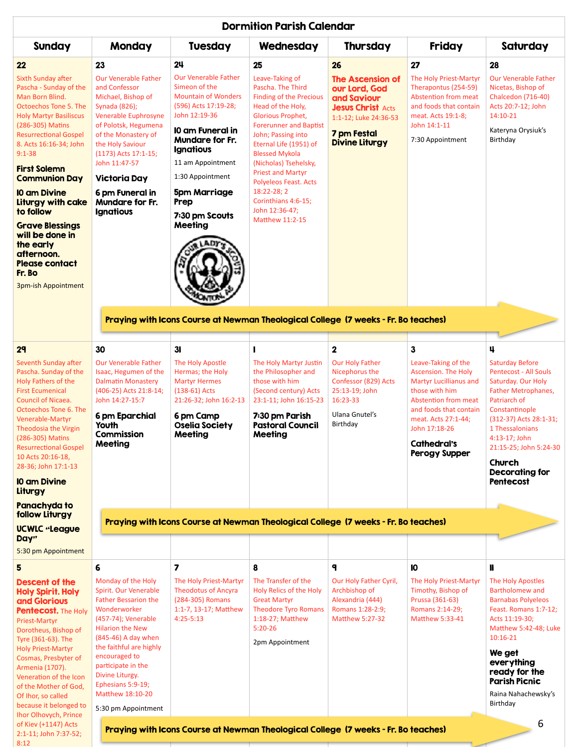| <b>Dormition Parish Calendar</b>                                                                                                                                                                                                                                                                                                                                                                                                                                                    |                                                                                                                                                                                                                                                                                                         |                                                                                                                                                                                                                                                                                                         |                                                                                                                                                                                                                                                                                                                                                                                                  |                                                                                                                                                            |                                                                                                                                                                                                                                              |                                                                                                                                                                                                                                                                         |  |  |  |
|-------------------------------------------------------------------------------------------------------------------------------------------------------------------------------------------------------------------------------------------------------------------------------------------------------------------------------------------------------------------------------------------------------------------------------------------------------------------------------------|---------------------------------------------------------------------------------------------------------------------------------------------------------------------------------------------------------------------------------------------------------------------------------------------------------|---------------------------------------------------------------------------------------------------------------------------------------------------------------------------------------------------------------------------------------------------------------------------------------------------------|--------------------------------------------------------------------------------------------------------------------------------------------------------------------------------------------------------------------------------------------------------------------------------------------------------------------------------------------------------------------------------------------------|------------------------------------------------------------------------------------------------------------------------------------------------------------|----------------------------------------------------------------------------------------------------------------------------------------------------------------------------------------------------------------------------------------------|-------------------------------------------------------------------------------------------------------------------------------------------------------------------------------------------------------------------------------------------------------------------------|--|--|--|
| <b>Sunday</b>                                                                                                                                                                                                                                                                                                                                                                                                                                                                       | Monday                                                                                                                                                                                                                                                                                                  | <b>Tuesday</b>                                                                                                                                                                                                                                                                                          | Wednesday                                                                                                                                                                                                                                                                                                                                                                                        | <b>Thursday</b>                                                                                                                                            | Friday                                                                                                                                                                                                                                       | Saturday                                                                                                                                                                                                                                                                |  |  |  |
| 22<br><b>Sixth Sunday after</b><br>Pascha - Sunday of the<br>Man Born Blind.<br><b>Octoechos Tone 5. The</b><br><b>Holy Martyr Basiliscus</b><br>(286-305) Matins<br><b>Resurrectional Gospel</b><br>8. Acts 16:16-34; John<br>$9:1 - 38$<br><b>First Solemn</b><br><b>Communion Day</b><br><b>10 am Divine</b><br>Liturgy with cake<br>to follow<br><b>Grave Blessings</b><br>will be done in<br>the early<br>afternoon.<br><b>Please contact</b><br>Fr. Bo<br>3pm-ish Appointment | 23<br><b>Our Venerable Father</b><br>and Confessor<br>Michael, Bishop of<br>Synada (826);<br>Venerable Euphrosyne<br>of Polotsk, Hegumena<br>of the Monastery of<br>the Holy Saviour<br>(1173) Acts 17:1-15;<br>John 11:47-57<br>Victoria Day<br>6 pm Funeral in<br>Mundare for Fr.<br><b>Ignatious</b> | 24<br><b>Our Venerable Father</b><br>Simeon of the<br><b>Mountain of Wonders</b><br>(596) Acts 17:19-28;<br>John 12:19-36<br>10 am Funeral in<br><b>Mundare for Fr.</b><br><b>Ignatious</b><br>11 am Appointment<br>1:30 Appointment<br><b>5pm Marriage</b><br>Prep<br>7:30 pm Scouts<br><b>Meeting</b> | 25<br>Leave-Taking of<br>Pascha. The Third<br><b>Finding of the Precious</b><br>Head of the Holy,<br>Glorious Prophet,<br><b>Forerunner and Baptist</b><br>John; Passing into<br>Eternal Life (1951) of<br><b>Blessed Mykola</b><br>(Nicholas) Tsehelsky,<br><b>Priest and Martyr</b><br><b>Polyeleos Feast. Acts</b><br>18:22-28; 2<br>Corinthians 4:6-15;<br>John 12:36-47;<br>Matthew 11:2-15 | 26<br><b>The Ascension of</b><br>our Lord, God<br>and Saviour<br><b>Jesus Christ Acts</b><br>1:1-12; Luke 24:36-53<br>7 pm Festal<br><b>Divine Liturgy</b> | 27<br>The Holy Priest-Martyr<br>Therapontus (254-59)<br><b>Abstention from meat</b><br>and foods that contain<br>meat. Acts 19:1-8;<br>John 14:1-11<br>7:30 Appointment                                                                      | 28<br><b>Our Venerable Father</b><br>Nicetas, Bishop of<br><b>Chalcedon (716-40)</b><br>Acts 20:7-12; John<br>14:10-21<br>Kateryna Orysiuk's<br>Birthday                                                                                                                |  |  |  |
|                                                                                                                                                                                                                                                                                                                                                                                                                                                                                     |                                                                                                                                                                                                                                                                                                         | Praying with Icons Course at Newman Theological College (7 weeks - Fr. Bo teaches)                                                                                                                                                                                                                      |                                                                                                                                                                                                                                                                                                                                                                                                  |                                                                                                                                                            |                                                                                                                                                                                                                                              |                                                                                                                                                                                                                                                                         |  |  |  |
| 29                                                                                                                                                                                                                                                                                                                                                                                                                                                                                  | 30                                                                                                                                                                                                                                                                                                      | 3 <sub>l</sub>                                                                                                                                                                                                                                                                                          |                                                                                                                                                                                                                                                                                                                                                                                                  | $\mathbf 2$                                                                                                                                                | 3                                                                                                                                                                                                                                            | 4                                                                                                                                                                                                                                                                       |  |  |  |
| Seventh Sunday after<br>Pascha. Sunday of the<br>Holy Fathers of the<br><b>First Ecumenical</b><br><b>Council of Nicaea.</b><br>Octoechos Tone 6. The<br>Venerable-Martyr<br>Theodosia the Virgin<br>(286-305) Matins<br><b>Resurrectional Gospel</b><br>10 Acts 20:16-18,<br>28-36; John 17:1-13                                                                                                                                                                                   | <b>Our Venerable Father</b><br>Isaac, Hegumen of the<br><b>Dalmatin Monastery</b><br>(406-25) Acts 21:8-14;<br>John 14:27-15:7<br>6 pm Eparchial<br>Youth<br>Commission<br><b>Meeting</b>                                                                                                               | The Holy Apostle<br>Hermas; the Holy<br><b>Martyr Hermes</b><br>$(138-61)$ Acts<br>21:26-32; John 16:2-13<br>6 pm Camp<br><b>Oselia Society</b><br>Meeting                                                                                                                                              | The Holy Martyr Justin<br>the Philosopher and<br>those with him<br>(Second century) Acts<br>23:1-11; John 16:15-23<br>7:30 pm Parish<br><b>Pastoral Council</b><br>Meeting                                                                                                                                                                                                                       | <b>Our Holy Father</b><br>Nicephorus the<br>Confessor (829) Acts<br>25:13-19; John<br>16:23-33<br>Ulana Gnutel's<br>Birthday                               | Leave-Taking of the<br><b>Ascension. The Holy</b><br><b>Martyr Lucillianus and</b><br>those with him<br><b>Abstention from meat</b><br>and foods that contain<br>meat. Acts 27:1-44;<br>John 17:18-26<br><b>Cathedral's</b><br>Perogy Supper | <b>Saturday Before</b><br><b>Pentecost - All Souls</b><br>Saturday. Our Holy<br><b>Father Metrophanes,</b><br>Patriarch of<br>Constantinople<br>(312-37) Acts 28:1-31;<br>1 Thessalonians<br>4:13-17; John<br>21:15-25; John 5:24-30<br>Church<br><b>Decorating for</b> |  |  |  |
| <b>10 am Divine</b><br>Liturgy                                                                                                                                                                                                                                                                                                                                                                                                                                                      |                                                                                                                                                                                                                                                                                                         |                                                                                                                                                                                                                                                                                                         |                                                                                                                                                                                                                                                                                                                                                                                                  |                                                                                                                                                            |                                                                                                                                                                                                                                              | <b>Pentecost</b>                                                                                                                                                                                                                                                        |  |  |  |
| Panachyda to<br>follow Liturgy<br><b>UCWLC "League</b><br>Day"                                                                                                                                                                                                                                                                                                                                                                                                                      | Praying with Icons Course at Newman Theological College (7 weeks - Fr. Bo teaches)                                                                                                                                                                                                                      |                                                                                                                                                                                                                                                                                                         |                                                                                                                                                                                                                                                                                                                                                                                                  |                                                                                                                                                            |                                                                                                                                                                                                                                              |                                                                                                                                                                                                                                                                         |  |  |  |
| 5:30 pm Appointment                                                                                                                                                                                                                                                                                                                                                                                                                                                                 |                                                                                                                                                                                                                                                                                                         |                                                                                                                                                                                                                                                                                                         |                                                                                                                                                                                                                                                                                                                                                                                                  |                                                                                                                                                            |                                                                                                                                                                                                                                              |                                                                                                                                                                                                                                                                         |  |  |  |
| 5<br><b>Descent of the</b><br><b>Holy Spirit. Holy</b><br>and Glorious<br><b>Pentecost.</b> The Holy<br>Priest-Martyr<br>Dorotheus, Bishop of<br>Tyre (361-63). The<br><b>Holy Priest-Martyr</b><br>Cosmas, Presbyter of                                                                                                                                                                                                                                                            | 6<br>Monday of the Holy<br>Spirit. Our Venerable<br><b>Father Bessarion the</b><br>Wonderworker<br>(457-74); Venerable<br><b>Hilarion the New</b><br>(845-46) A day when<br>the faithful are highly<br>encouraged to                                                                                    | 7<br>The Holy Priest-Martyr<br><b>Theodotus of Ancyra</b><br>(284-305) Romans<br>1:1-7, 13-17; Matthew<br>$4:25 - 5:13$                                                                                                                                                                                 | 8<br>The Transfer of the<br>Holy Relics of the Holy<br><b>Great Martyr</b><br><b>Theodore Tyro Romans</b><br>1:18-27; Matthew<br>$5:20-26$<br>2pm Appointment                                                                                                                                                                                                                                    | ٩<br>Our Holy Father Cyril,<br>Archbishop of<br>Alexandria (444)<br>Romans 1:28-2:9;<br><b>Matthew 5:27-32</b>                                             | 10<br>The Holy Priest-Martyr<br>Timothy, Bishop of<br>Prussa (361-63)<br>Romans 2:14-29;<br><b>Matthew 5:33-41</b>                                                                                                                           | Ш<br>The Holy Apostles<br><b>Bartholomew and</b><br><b>Barnabas Polyeleos</b><br>Feast. Romans 1:7-12;<br>Acts 11:19-30;<br>Matthew 5:42-48; Luke<br>$10:16 - 21$<br>We get<br>everything                                                                               |  |  |  |
| Armenia (1707).<br>Veneration of the Icon<br>of the Mother of God,<br>Of Ihor, so called<br>because it belonged to                                                                                                                                                                                                                                                                                                                                                                  | participate in the<br>Divine Liturgy.<br>Ephesians 5:9-19;<br>Matthew 18:10-20<br>5:30 pm Appointment                                                                                                                                                                                                   |                                                                                                                                                                                                                                                                                                         |                                                                                                                                                                                                                                                                                                                                                                                                  |                                                                                                                                                            |                                                                                                                                                                                                                                              | ready for the<br><b>Parish Picnic</b><br>Raina Nahachewsky's<br>Birthday                                                                                                                                                                                                |  |  |  |
| Ihor Olhovych, Prince<br>of Kiev (+1147) Acts<br>2:1-11; John 7:37-52;<br>8:12                                                                                                                                                                                                                                                                                                                                                                                                      | 6<br>Praying with Icons Course at Newman Theological College (7 weeks - Fr. Bo teaches)                                                                                                                                                                                                                 |                                                                                                                                                                                                                                                                                                         |                                                                                                                                                                                                                                                                                                                                                                                                  |                                                                                                                                                            |                                                                                                                                                                                                                                              |                                                                                                                                                                                                                                                                         |  |  |  |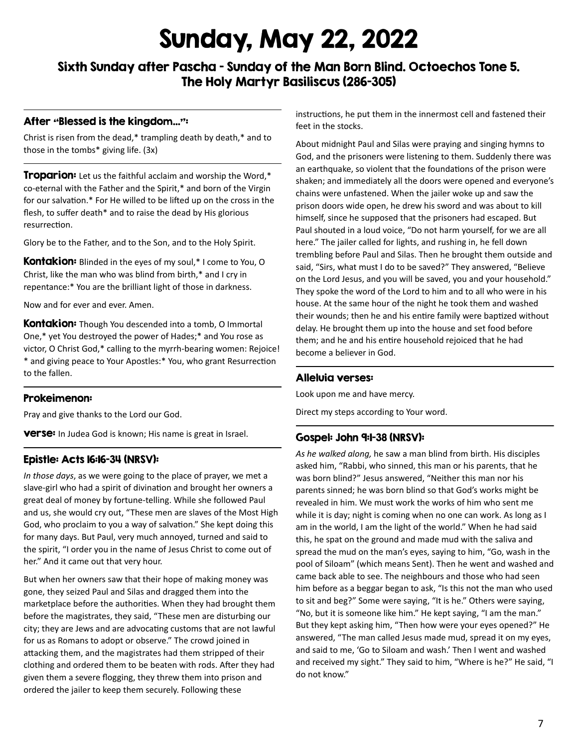# Sunday, May 22, 2022

Sixth Sunday after Pascha – Sunday of the Man Born Blind. Octoechos Tone 5. The Holy Martyr Basiliscus (286-305)

#### After "Blessed is the kingdom…":

Christ is risen from the dead,\* trampling death by death,\* and to those in the tombs\* giving life. (3x)

**Troparion:** Let us the faithful acclaim and worship the Word,\* co-eternal with the Father and the Spirit,\* and born of the Virgin for our salvation.\* For He willed to be lifted up on the cross in the flesh, to suffer death\* and to raise the dead by His glorious resurrection.

Glory be to the Father, and to the Son, and to the Holy Spirit.

**Kontakion:** Blinded in the eyes of my soul,\* I come to You, O Christ, like the man who was blind from birth,\* and I cry in repentance:\* You are the brilliant light of those in darkness.

Now and for ever and ever. Amen.

**Kontakion:** Though You descended into a tomb, O Immortal One,\* yet You destroyed the power of Hades;\* and You rose as victor, O Christ God,\* calling to the myrrh-bearing women: Rejoice! \* and giving peace to Your Apostles:\* You, who grant Resurrection to the fallen.

#### Prokeimenon:

Pray and give thanks to the Lord our God.

**verse:** In Judea God is known; His name is great in Israel.

#### Epistle: Acts 16:16-34 (NRSV):

*In those days*, as we were going to the place of prayer, we met a slave-girl who had a spirit of divination and brought her owners a great deal of money by fortune-telling. While she followed Paul and us, she would cry out, "These men are slaves of the Most High God, who proclaim to you a way of salvation." She kept doing this for many days. But Paul, very much annoyed, turned and said to the spirit, "I order you in the name of Jesus Christ to come out of her." And it came out that very hour.

But when her owners saw that their hope of making money was gone, they seized Paul and Silas and dragged them into the marketplace before the authorities. When they had brought them before the magistrates, they said, "These men are disturbing our city; they are Jews and are advocating customs that are not lawful for us as Romans to adopt or observe." The crowd joined in attacking them, and the magistrates had them stripped of their clothing and ordered them to be beaten with rods. After they had given them a severe flogging, they threw them into prison and ordered the jailer to keep them securely. Following these

instructions, he put them in the innermost cell and fastened their feet in the stocks.

About midnight Paul and Silas were praying and singing hymns to God, and the prisoners were listening to them. Suddenly there was an earthquake, so violent that the foundations of the prison were shaken; and immediately all the doors were opened and everyone's chains were unfastened. When the jailer woke up and saw the prison doors wide open, he drew his sword and was about to kill himself, since he supposed that the prisoners had escaped. But Paul shouted in a loud voice, "Do not harm yourself, for we are all here." The jailer called for lights, and rushing in, he fell down trembling before Paul and Silas. Then he brought them outside and said, "Sirs, what must I do to be saved?" They answered, "Believe on the Lord Jesus, and you will be saved, you and your household." They spoke the word of the Lord to him and to all who were in his house. At the same hour of the night he took them and washed their wounds; then he and his entire family were baptized without delay. He brought them up into the house and set food before them; and he and his entire household rejoiced that he had become a believer in God.

#### Alleluia verses:

Look upon me and have mercy.

Direct my steps according to Your word.

#### Gospel: John 9:1-38 (NRSV):

*As he walked along,* he saw a man blind from birth. His disciples asked him, "Rabbi, who sinned, this man or his parents, that he was born blind?" Jesus answered, "Neither this man nor his parents sinned; he was born blind so that God's works might be revealed in him. We must work the works of him who sent me while it is day; night is coming when no one can work. As long as I am in the world, I am the light of the world." When he had said this, he spat on the ground and made mud with the saliva and spread the mud on the man's eyes, saying to him, "Go, wash in the pool of Siloam" (which means Sent). Then he went and washed and came back able to see. The neighbours and those who had seen him before as a beggar began to ask, "Is this not the man who used to sit and beg?" Some were saying, "It is he." Others were saying, "No, but it is someone like him." He kept saying, "I am the man." But they kept asking him, "Then how were your eyes opened?" He answered, "The man called Jesus made mud, spread it on my eyes, and said to me, 'Go to Siloam and wash.' Then I went and washed and received my sight." They said to him, "Where is he?" He said, "I do not know."